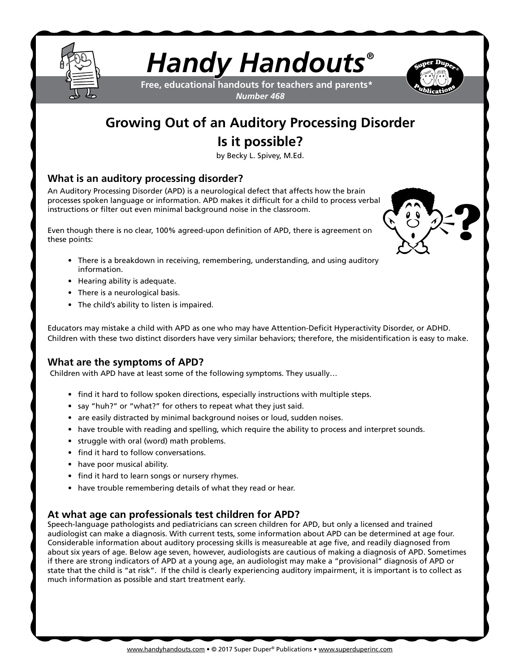

# *Handy Handouts®*

**Free, educational handouts for teachers and parents\*** *Number 468*



# **Growing Out of an Auditory Processing Disorder Is it possible?**

by Becky L. Spivey, M.Ed.

### **What is an auditory processing disorder?**

An Auditory Processing Disorder (APD) is a neurological defect that affects how the brain processes spoken language or information. APD makes it difficult for a child to process verbal instructions or filter out even minimal background noise in the classroom.

Even though there is no clear, 100% agreed-upon definition of APD, there is agreement on these points:

- There is a breakdown in receiving, remembering, understanding, and using auditory information.
- Hearing ability is adequate.
- There is a neurological basis.
- The child's ability to listen is impaired.

Educators may mistake a child with APD as one who may have Attention-Deficit Hyperactivity Disorder, or ADHD. Children with these two distinct disorders have very similar behaviors; therefore, the misidentification is easy to make.

#### **What are the symptoms of APD?**

Children with APD have at least some of the following symptoms. They usually…

- find it hard to follow spoken directions, especially instructions with multiple steps.
- say "huh?" or "what?" for others to repeat what they just said.
- are easily distracted by minimal background noises or loud, sudden noises.
- have trouble with reading and spelling, which require the ability to process and interpret sounds.
- struggle with oral (word) math problems.
- find it hard to follow conversations.
- have poor musical ability.
- find it hard to learn songs or nursery rhymes.
- have trouble remembering details of what they read or hear.

#### **At what age can professionals test children for APD?**

Speech-language pathologists and pediatricians can screen children for APD, but only a licensed and trained audiologist can make a diagnosis. With current tests, some information about APD can be determined at age four. Considerable information about auditory processing skills is measureable at age five, and readily diagnosed from about six years of age. Below age seven, however, audiologists are cautious of making a diagnosis of APD. Sometimes if there are strong indicators of APD at a young age, an audiologist may make a "provisional" diagnosis of APD or state that the child is "at risk". If the child is clearly experiencing auditory impairment, it is important is to collect as much information as possible and start treatment early.